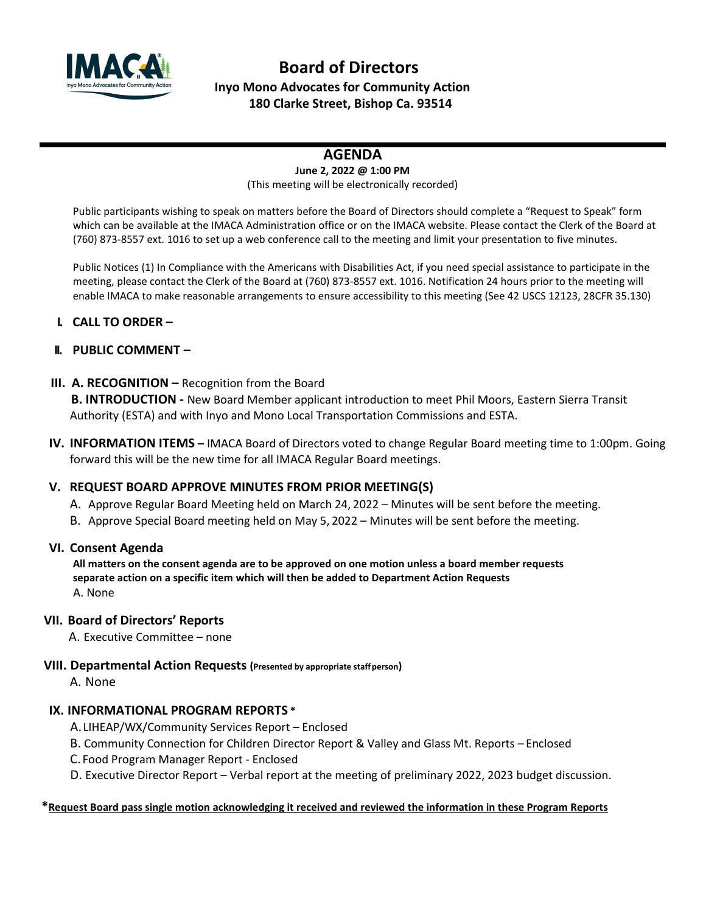

# **Board of Directors Inyo Mono Advocates for Community Action 180 Clarke Street, Bishop Ca. 93514**

# **AGENDA**

#### **June 2, 2022 @ 1:00 PM** (This meeting will be electronically recorded)

Public participants wishing to speak on matters before the Board of Directors should complete a "Request to Speak" form which can be available at the IMACA Administration office or on the IMACA website. Please contact the Clerk of the Board at (760) 873-8557 ext. 1016 to set up a web conference call to the meeting and limit your presentation to five minutes.

Public Notices (1) In Compliance with the Americans with Disabilities Act, if you need special assistance to participate in the meeting, please contact the Clerk of the Board at (760) 873-8557 ext. 1016. Notification 24 hours prior to the meeting will enable IMACA to make reasonable arrangements to ensure accessibility to this meeting (See 42 USCS 12123, 28CFR 35.130)

### **I. CALL TO ORDER –**

### **II. PUBLIC COMMENT –**

### **III. A. RECOGNITION –** Recognition from the Board

 **B. INTRODUCTION -** New Board Member applicant introduction to meet Phil Moors, Eastern Sierra Transit Authority (ESTA) and with Inyo and Mono Local Transportation Commissions and ESTA.

**IV. INFORMATION ITEMS –** IMACA Board of Directors voted to change Regular Board meeting time to 1:00pm. Going forward this will be the new time for all IMACA Regular Board meetings.

# **V. REQUEST BOARD APPROVE MINUTES FROM PRIOR MEETING(S)**

- A. Approve Regular Board Meeting held on March 24, 2022 Minutes will be sent before the meeting.
- B. Approve Special Board meeting held on May 5, 2022 Minutes will be sent before the meeting.

### **VI. Consent Agenda**

**All matters on the consent agenda are to be approved on one motion unless a board member requests separate action on a specific item which will then be added to Department Action Requests** A. None

### **VII. Board of Directors' Reports**

A. Executive Committee – none

#### **VIII. Departmental Action Requests (Presented by appropriate staffperson)**

A. None

### **IX. INFORMATIONAL PROGRAM REPORTS \***

A. LIHEAP/WX/Community Services Report – Enclosed

- B. Community Connection for Children Director Report & Valley and Glass Mt. Reports Enclosed
- C. Food Program Manager Report Enclosed
- D. Executive Director Report Verbal report at the meeting of preliminary 2022, 2023 budget discussion.

#### **\*Request Board pass single motion acknowledging it received and reviewed the information in these Program Reports**